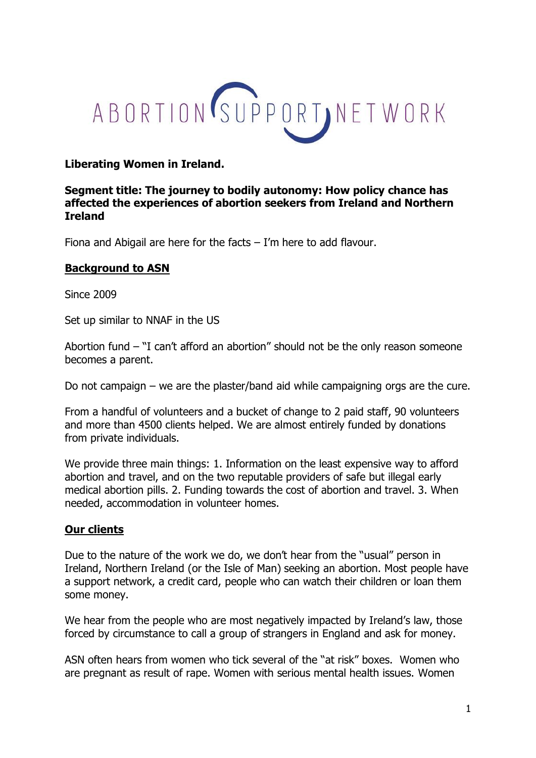

## **Liberating Women in Ireland.**

## **Segment title: The journey to bodily autonomy: How policy chance has affected the experiences of abortion seekers from Ireland and Northern Ireland**

Fiona and Abigail are here for the facts – I'm here to add flavour.

## **Background to ASN**

Since 2009

Set up similar to NNAF in the US

Abortion fund – "I can't afford an abortion" should not be the only reason someone becomes a parent.

Do not campaign – we are the plaster/band aid while campaigning orgs are the cure.

From a handful of volunteers and a bucket of change to 2 paid staff, 90 volunteers and more than 4500 clients helped. We are almost entirely funded by donations from private individuals.

We provide three main things: 1. Information on the least expensive way to afford abortion and travel, and on the two reputable providers of safe but illegal early medical abortion pills. 2. Funding towards the cost of abortion and travel. 3. When needed, accommodation in volunteer homes.

#### **Our clients**

Due to the nature of the work we do, we don't hear from the "usual" person in Ireland, Northern Ireland (or the Isle of Man) seeking an abortion. Most people have a support network, a credit card, people who can watch their children or loan them some money.

We hear from the people who are most negatively impacted by Ireland's law, those forced by circumstance to call a group of strangers in England and ask for money.

ASN often hears from women who tick several of the "at risk" boxes. Women who are pregnant as result of rape. Women with serious mental health issues. Women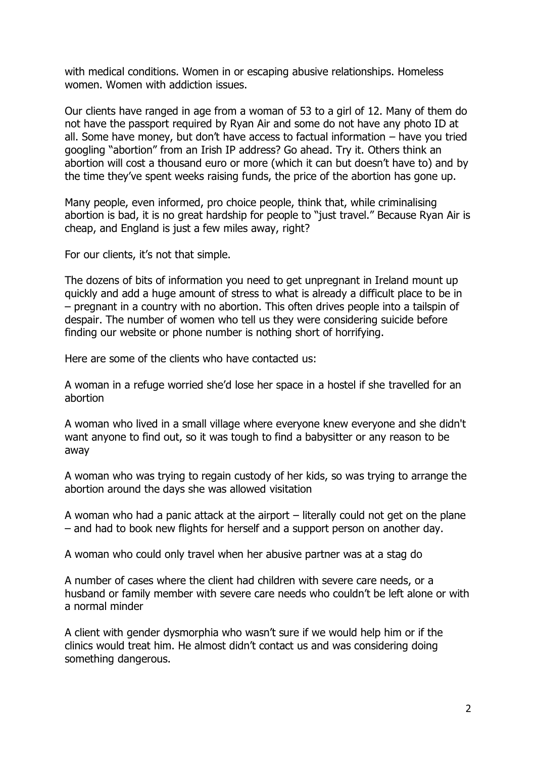with medical conditions. Women in or escaping abusive relationships. Homeless women. Women with addiction issues.

Our clients have ranged in age from a woman of 53 to a girl of 12. Many of them do not have the passport required by Ryan Air and some do not have any photo ID at all. Some have money, but don't have access to factual information – have you tried googling "abortion" from an Irish IP address? Go ahead. Try it. Others think an abortion will cost a thousand euro or more (which it can but doesn't have to) and by the time they've spent weeks raising funds, the price of the abortion has gone up.

Many people, even informed, pro choice people, think that, while criminalising abortion is bad, it is no great hardship for people to "just travel." Because Ryan Air is cheap, and England is just a few miles away, right?

For our clients, it's not that simple.

The dozens of bits of information you need to get unpregnant in Ireland mount up quickly and add a huge amount of stress to what is already a difficult place to be in – pregnant in a country with no abortion. This often drives people into a tailspin of despair. The number of women who tell us they were considering suicide before finding our website or phone number is nothing short of horrifying.

Here are some of the clients who have contacted us:

A woman in a refuge worried she'd lose her space in a hostel if she travelled for an abortion

A woman who lived in a small village where everyone knew everyone and she didn't want anyone to find out, so it was tough to find a babysitter or any reason to be away

A woman who was trying to regain custody of her kids, so was trying to arrange the abortion around the days she was allowed visitation

A woman who had a panic attack at the airport – literally could not get on the plane – and had to book new flights for herself and a support person on another day.

A woman who could only travel when her abusive partner was at a stag do

A number of cases where the client had children with severe care needs, or a husband or family member with severe care needs who couldn't be left alone or with a normal minder

A client with gender dysmorphia who wasn't sure if we would help him or if the clinics would treat him. He almost didn't contact us and was considering doing something dangerous.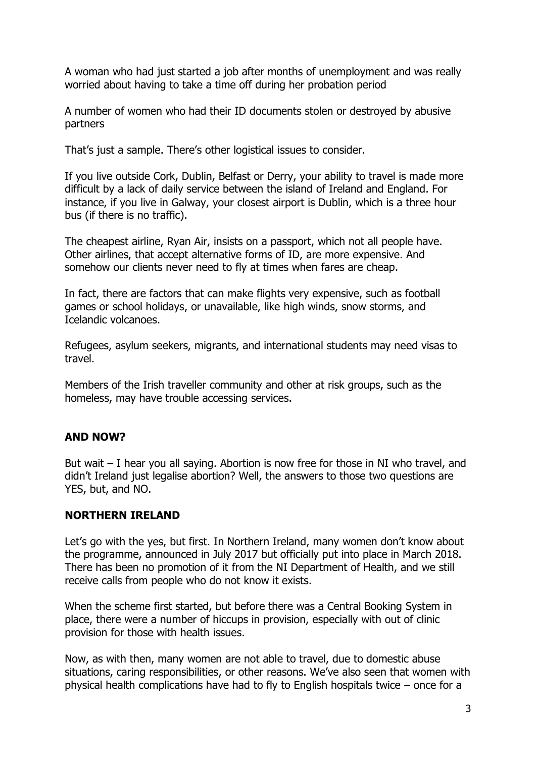A woman who had just started a job after months of unemployment and was really worried about having to take a time off during her probation period

A number of women who had their ID documents stolen or destroyed by abusive partners

That's just a sample. There's other logistical issues to consider.

If you live outside Cork, Dublin, Belfast or Derry, your ability to travel is made more difficult by a lack of daily service between the island of Ireland and England. For instance, if you live in Galway, your closest airport is Dublin, which is a three hour bus (if there is no traffic).

The cheapest airline, Ryan Air, insists on a passport, which not all people have. Other airlines, that accept alternative forms of ID, are more expensive. And somehow our clients never need to fly at times when fares are cheap.

In fact, there are factors that can make flights very expensive, such as football games or school holidays, or unavailable, like high winds, snow storms, and Icelandic volcanoes.

Refugees, asylum seekers, migrants, and international students may need visas to travel.

Members of the Irish traveller community and other at risk groups, such as the homeless, may have trouble accessing services.

## **AND NOW?**

But wait – I hear you all saying. Abortion is now free for those in NI who travel, and didn't Ireland just legalise abortion? Well, the answers to those two questions are YES, but, and NO.

## **NORTHERN IRELAND**

Let's go with the yes, but first. In Northern Ireland, many women don't know about the programme, announced in July 2017 but officially put into place in March 2018. There has been no promotion of it from the NI Department of Health, and we still receive calls from people who do not know it exists.

When the scheme first started, but before there was a Central Booking System in place, there were a number of hiccups in provision, especially with out of clinic provision for those with health issues.

Now, as with then, many women are not able to travel, due to domestic abuse situations, caring responsibilities, or other reasons. We've also seen that women with physical health complications have had to fly to English hospitals twice – once for a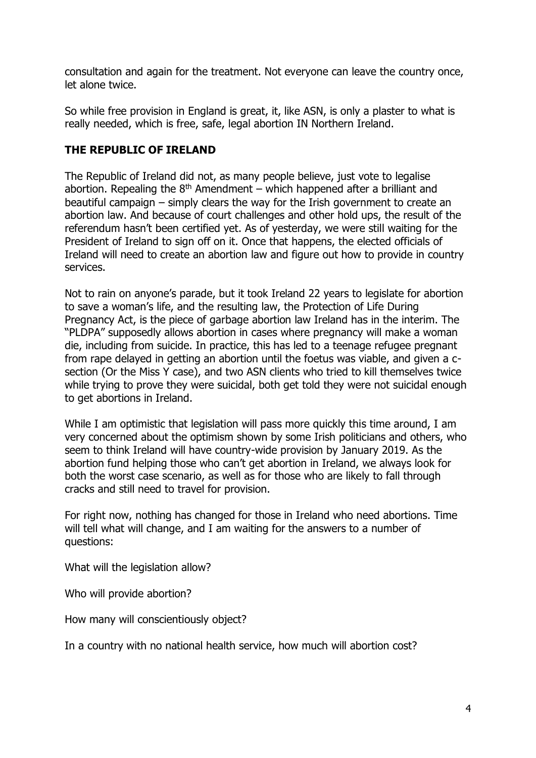consultation and again for the treatment. Not everyone can leave the country once, let alone twice.

So while free provision in England is great, it, like ASN, is only a plaster to what is really needed, which is free, safe, legal abortion IN Northern Ireland.

# **THE REPUBLIC OF IRELAND**

The Republic of Ireland did not, as many people believe, just vote to legalise abortion. Repealing the  $8<sup>th</sup>$  Amendment – which happened after a brilliant and beautiful campaign – simply clears the way for the Irish government to create an abortion law. And because of court challenges and other hold ups, the result of the referendum hasn't been certified yet. As of yesterday, we were still waiting for the President of Ireland to sign off on it. Once that happens, the elected officials of Ireland will need to create an abortion law and figure out how to provide in country services.

Not to rain on anyone's parade, but it took Ireland 22 years to legislate for abortion to save a woman's life, and the resulting law, the Protection of Life During Pregnancy Act, is the piece of garbage abortion law Ireland has in the interim. The "PLDPA" supposedly allows abortion in cases where pregnancy will make a woman die, including from suicide. In practice, this has led to a teenage refugee pregnant from rape delayed in getting an abortion until the foetus was viable, and given a csection (Or the Miss Y case), and two ASN clients who tried to kill themselves twice while trying to prove they were suicidal, both get told they were not suicidal enough to get abortions in Ireland.

While I am optimistic that legislation will pass more quickly this time around, I am very concerned about the optimism shown by some Irish politicians and others, who seem to think Ireland will have country-wide provision by January 2019. As the abortion fund helping those who can't get abortion in Ireland, we always look for both the worst case scenario, as well as for those who are likely to fall through cracks and still need to travel for provision.

For right now, nothing has changed for those in Ireland who need abortions. Time will tell what will change, and I am waiting for the answers to a number of questions:

What will the legislation allow?

Who will provide abortion?

How many will conscientiously object?

In a country with no national health service, how much will abortion cost?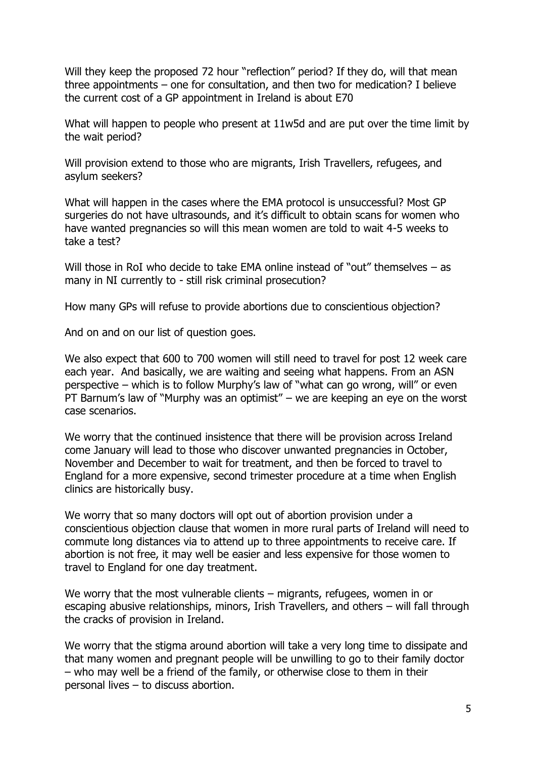Will they keep the proposed 72 hour "reflection" period? If they do, will that mean three appointments – one for consultation, and then two for medication? I believe the current cost of a GP appointment in Ireland is about E70

What will happen to people who present at 11w5d and are put over the time limit by the wait period?

Will provision extend to those who are migrants, Irish Travellers, refugees, and asylum seekers?

What will happen in the cases where the EMA protocol is unsuccessful? Most GP surgeries do not have ultrasounds, and it's difficult to obtain scans for women who have wanted pregnancies so will this mean women are told to wait 4-5 weeks to take a test?

Will those in RoI who decide to take EMA online instead of "out" themselves – as many in NI currently to - still risk criminal prosecution?

How many GPs will refuse to provide abortions due to conscientious objection?

And on and on our list of question goes.

We also expect that 600 to 700 women will still need to travel for post 12 week care each year. And basically, we are waiting and seeing what happens. From an ASN perspective – which is to follow Murphy's law of "what can go wrong, will" or even PT Barnum's law of "Murphy was an optimist" – we are keeping an eye on the worst case scenarios.

We worry that the continued insistence that there will be provision across Ireland come January will lead to those who discover unwanted pregnancies in October, November and December to wait for treatment, and then be forced to travel to England for a more expensive, second trimester procedure at a time when English clinics are historically busy.

We worry that so many doctors will opt out of abortion provision under a conscientious objection clause that women in more rural parts of Ireland will need to commute long distances via to attend up to three appointments to receive care. If abortion is not free, it may well be easier and less expensive for those women to travel to England for one day treatment.

We worry that the most vulnerable clients – migrants, refugees, women in or escaping abusive relationships, minors, Irish Travellers, and others – will fall through the cracks of provision in Ireland.

We worry that the stigma around abortion will take a very long time to dissipate and that many women and pregnant people will be unwilling to go to their family doctor – who may well be a friend of the family, or otherwise close to them in their personal lives – to discuss abortion.